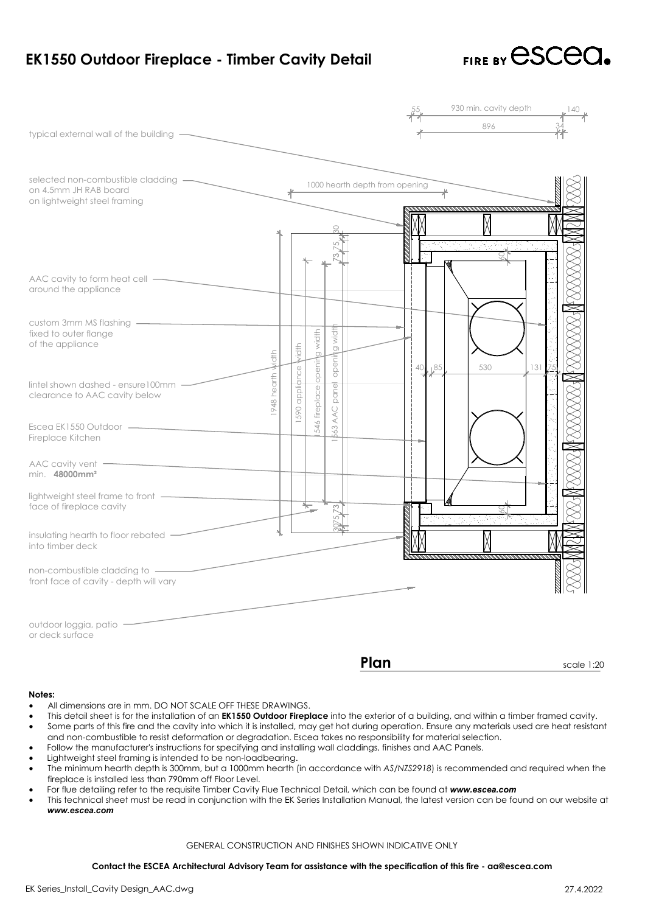| EK1550 Outdoor Fireplace - Timber Cavity Detail                                                                                                                                                                                                                                                                                                                                                                                                                                                                                                                                                                                                                                                                                                                                                                                                                                                                                                                                                                                                                                                                                                                                                                                                                        |                                |               |                      |                        |      | FIRE BY CSCOM   |                                                          |     |            |  |  |
|------------------------------------------------------------------------------------------------------------------------------------------------------------------------------------------------------------------------------------------------------------------------------------------------------------------------------------------------------------------------------------------------------------------------------------------------------------------------------------------------------------------------------------------------------------------------------------------------------------------------------------------------------------------------------------------------------------------------------------------------------------------------------------------------------------------------------------------------------------------------------------------------------------------------------------------------------------------------------------------------------------------------------------------------------------------------------------------------------------------------------------------------------------------------------------------------------------------------------------------------------------------------|--------------------------------|---------------|----------------------|------------------------|------|-----------------|----------------------------------------------------------|-----|------------|--|--|
|                                                                                                                                                                                                                                                                                                                                                                                                                                                                                                                                                                                                                                                                                                                                                                                                                                                                                                                                                                                                                                                                                                                                                                                                                                                                        |                                |               |                      |                        |      |                 | 930 min. cavity depth                                    |     |            |  |  |
| typical external wall of the building -                                                                                                                                                                                                                                                                                                                                                                                                                                                                                                                                                                                                                                                                                                                                                                                                                                                                                                                                                                                                                                                                                                                                                                                                                                |                                |               |                      |                        |      |                 | 896                                                      |     |            |  |  |
|                                                                                                                                                                                                                                                                                                                                                                                                                                                                                                                                                                                                                                                                                                                                                                                                                                                                                                                                                                                                                                                                                                                                                                                                                                                                        |                                |               |                      |                        |      |                 |                                                          |     |            |  |  |
| selected non-combustible cladding<br>on 4.5mm JH RAB board<br>on lightweight steel framing                                                                                                                                                                                                                                                                                                                                                                                                                                                                                                                                                                                                                                                                                                                                                                                                                                                                                                                                                                                                                                                                                                                                                                             | 1000 hearth depth from opening |               |                      |                        |      |                 |                                                          |     |            |  |  |
|                                                                                                                                                                                                                                                                                                                                                                                                                                                                                                                                                                                                                                                                                                                                                                                                                                                                                                                                                                                                                                                                                                                                                                                                                                                                        |                                |               |                      |                        |      |                 | n Robert Maria (1985)<br>1983: Antonio College, política |     |            |  |  |
| AAC cavity to form heat cell —<br>around the appliance                                                                                                                                                                                                                                                                                                                                                                                                                                                                                                                                                                                                                                                                                                                                                                                                                                                                                                                                                                                                                                                                                                                                                                                                                 |                                |               |                      |                        |      |                 |                                                          |     |            |  |  |
| fixed to outer flange<br>of the appliance                                                                                                                                                                                                                                                                                                                                                                                                                                                                                                                                                                                                                                                                                                                                                                                                                                                                                                                                                                                                                                                                                                                                                                                                                              | id†h                           | Mdth          | g width              | g width                |      |                 |                                                          |     |            |  |  |
| lintel shown dashed - ensure100mm<br>clearance to AAC cavity below                                                                                                                                                                                                                                                                                                                                                                                                                                                                                                                                                                                                                                                                                                                                                                                                                                                                                                                                                                                                                                                                                                                                                                                                     | 1948 hearth                    | 590 appliance | 546 fireplace openir | openin<br>panel<br>AAC |      | $L^{85}$<br>401 | 530                                                      | 131 |            |  |  |
| Escea EK1550 Outdoor —————<br>Fireplace Kitchen                                                                                                                                                                                                                                                                                                                                                                                                                                                                                                                                                                                                                                                                                                                                                                                                                                                                                                                                                                                                                                                                                                                                                                                                                        |                                |               |                      | 563                    |      |                 |                                                          |     |            |  |  |
| AAC cavity vent -<br>min. 48000mm <sup>2</sup>                                                                                                                                                                                                                                                                                                                                                                                                                                                                                                                                                                                                                                                                                                                                                                                                                                                                                                                                                                                                                                                                                                                                                                                                                         |                                |               |                      |                        |      |                 |                                                          |     |            |  |  |
| lightweight steel frame to front -<br>face of fireplace cavity                                                                                                                                                                                                                                                                                                                                                                                                                                                                                                                                                                                                                                                                                                                                                                                                                                                                                                                                                                                                                                                                                                                                                                                                         |                                |               | $\leftarrow$         |                        |      |                 |                                                          |     |            |  |  |
| insulating hearth to floor rebated<br>into timber deck                                                                                                                                                                                                                                                                                                                                                                                                                                                                                                                                                                                                                                                                                                                                                                                                                                                                                                                                                                                                                                                                                                                                                                                                                 |                                |               |                      |                        |      |                 |                                                          |     |            |  |  |
| non-combustible cladding to<br>front face of cavity - depth will vary                                                                                                                                                                                                                                                                                                                                                                                                                                                                                                                                                                                                                                                                                                                                                                                                                                                                                                                                                                                                                                                                                                                                                                                                  |                                |               |                      |                        |      |                 |                                                          |     |            |  |  |
| outdoor loggia, patio<br>or deck surface                                                                                                                                                                                                                                                                                                                                                                                                                                                                                                                                                                                                                                                                                                                                                                                                                                                                                                                                                                                                                                                                                                                                                                                                                               |                                |               |                      |                        |      |                 |                                                          |     |            |  |  |
|                                                                                                                                                                                                                                                                                                                                                                                                                                                                                                                                                                                                                                                                                                                                                                                                                                                                                                                                                                                                                                                                                                                                                                                                                                                                        |                                |               |                      |                        | Plan |                 |                                                          |     | scale 1:20 |  |  |
| Notes:<br>All dimensions are in mm. DO NOT SCALE OFF THESE DRAWINGS.<br>$\bullet$<br>This detail sheet is for the installation of an <b>EK1550 Outdoor Fireplace</b> into the exterior of a building, and within a timber framed cavity.<br>$\bullet$<br>Some parts of this fire and the cavity into which it is installed, may get hot during operation. Ensure any materials used are heat resistan<br>$\bullet$<br>and non-combustible to resist deformation or degradation. Escea takes no responsibility for material selection.<br>Follow the manufacturer's instructions for specifying and installing wall claddings, finishes and AAC Panels.<br>$\bullet$<br>Lightweight steel framing is intended to be non-loadbearing.<br>$\bullet$<br>The minimum hearth depth is 300mm, but a 1000mm hearth (in accordance with AS/NZS2918) is recommended and required when the<br>$\bullet$<br>fireplace is installed less than 790mm off Floor Level.<br>For flue detailing refer to the requisite Timber Cavity Flue Technical Detail, which can be found at www.escea.com<br>$\bullet$<br>This technical sheet must be read in conjunction with the EK Series Installation Manual, the latest version can be found on our website of<br>$\bullet$<br>www.escea.com |                                |               |                      |                        |      |                 |                                                          |     |            |  |  |
| <b>GENERAL CONSTRUCTION AND FINISHES SHOWN INDICATIVE ONLY</b>                                                                                                                                                                                                                                                                                                                                                                                                                                                                                                                                                                                                                                                                                                                                                                                                                                                                                                                                                                                                                                                                                                                                                                                                         |                                |               |                      |                        |      |                 |                                                          |     |            |  |  |
| Contact the ESCEA Architectural Advisory Team for assistance with the specification of this fire - aa@escea.com                                                                                                                                                                                                                                                                                                                                                                                                                                                                                                                                                                                                                                                                                                                                                                                                                                                                                                                                                                                                                                                                                                                                                        |                                |               |                      |                        |      |                 |                                                          |     |            |  |  |
| EK Series_Install_Cavity Design_AAC.dwg                                                                                                                                                                                                                                                                                                                                                                                                                                                                                                                                                                                                                                                                                                                                                                                                                                                                                                                                                                                                                                                                                                                                                                                                                                |                                |               |                      |                        |      |                 |                                                          |     | 27.4.2022  |  |  |

# **Notes:**

- 
- outes:<br>• All dimensions are in mm. DO NOT SCALE OFF THESE DRAWINGS.<br>• This detail sheet is for the installation of an **EK1550 Outdoor Fireplace** into the exterior of a building, and within a timber framed cavity. wher this detail sheet is for the installation of an EK1550 Outdoor Fireplace into the exterior of a building, and within a timber framed cavity.<br>• This detail sheet is for the installation of an EK1550 Outdoor Fireplace i All dimensions are in mm. DO NOT SCALE OFF THESE DRAWINGS.<br>This detail sheet is for the installation of an **EK1550 Outdoor Fireplace** into the exterior of a building, and within (<br>Some parts of this fire and the cavity int vall dimensions are in mm. DO NOT SCALE OFF THESE DRAWINGS.<br>• This detail sheet is for the installation of an **EK1550 Outdoor Fireplace** into the exterior of a building, and wi<br>• Some parts of this fire and the cavity into Notes:<br>• All dimensions are in mm. DO NOT SCALE OFF THESE DRAWIN<br>• This detail sheet is for the installation of an **EK1550 Outdoor Fir**<br>• Some parts of this fire and the cavity into which it is installed,<br>• Follow the manu • All dimensions are in mm. DO NOT SCALE OFF THESE DRAWINGS.<br>• This detail sheet is for the installation of an **EK1550 Outdoor Fireplace** into the exterior of a building, and within a timber framed cavity.<br>• Some parts of • All dimensions are in mm. DO NOT SCALE OFF THESE DRAWINGS.<br>• This detail sheet is for the installation of an **EK1550 Outdoor Fireplace** into the exterior of a building, and within a time<br>• Some parts of this fire and the
- 
- 
- Follow the manufacturer's instructions for specifying<br>Lightweight steel framing is intended to be non-load<br>The minimum hearth depth is 300mm, but a 1000mm<br>fireplace is installed less than 790mm off Floor Level. • This technical sheet must be read in conjunction with the EK Series Installation. Kannon Manual, the latest more instead to be read in conjunctions.<br>• Lightweight steel framing is intended to be non-loadbearing.<br>• The mi Contact the ESCEA Architectural Advisory Team for assistance with the specification of this fire - aa@escea.com<br>
Contact the ESCEA Architecture's instructions for specifying and installing wall claddings, finishes and AAC
- 
- fireplace is installed less than 790mm off Floor Level.<br>For flue detailing refer to the requisite Timber Cavity Flue Technical Detail, which can be found at www.escea.com<br>This technical sheet must be read in conjunction wi

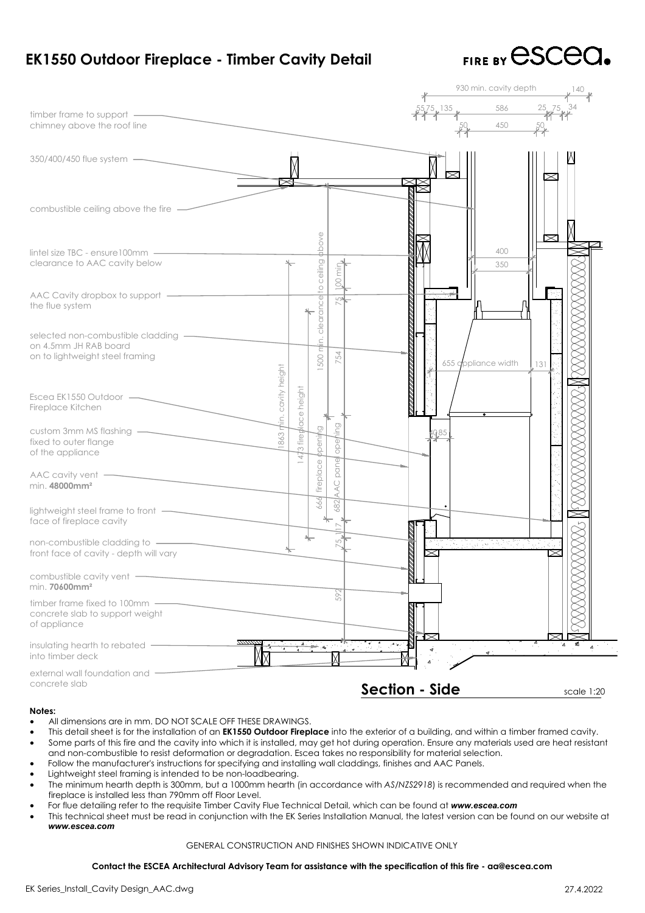| EK1550 Outdoor Fireplace - Timber Cavity Detail                                                                                                                                                                                                                                                                                                                                                                                                                                                                                                                                                                                                                                                                                                                                                                                                                                                                                                                                                                                                                                                                                                                                                                                                                        |                                                                |                    |                                   |              |         |                       |                                     | FIRE BY CSCCO |            |
|------------------------------------------------------------------------------------------------------------------------------------------------------------------------------------------------------------------------------------------------------------------------------------------------------------------------------------------------------------------------------------------------------------------------------------------------------------------------------------------------------------------------------------------------------------------------------------------------------------------------------------------------------------------------------------------------------------------------------------------------------------------------------------------------------------------------------------------------------------------------------------------------------------------------------------------------------------------------------------------------------------------------------------------------------------------------------------------------------------------------------------------------------------------------------------------------------------------------------------------------------------------------|----------------------------------------------------------------|--------------------|-----------------------------------|--------------|---------|-----------------------|-------------------------------------|---------------|------------|
| timber frame to support —<br>chimney above the roof line                                                                                                                                                                                                                                                                                                                                                                                                                                                                                                                                                                                                                                                                                                                                                                                                                                                                                                                                                                                                                                                                                                                                                                                                               |                                                                |                    |                                   |              |         | $5/5$ , 135           | 930 min. cavity depth<br>586<br>450 |               |            |
| 350/400/450 flue system -                                                                                                                                                                                                                                                                                                                                                                                                                                                                                                                                                                                                                                                                                                                                                                                                                                                                                                                                                                                                                                                                                                                                                                                                                                              |                                                                |                    |                                   |              |         |                       |                                     |               |            |
| combustible ceiling above the fire                                                                                                                                                                                                                                                                                                                                                                                                                                                                                                                                                                                                                                                                                                                                                                                                                                                                                                                                                                                                                                                                                                                                                                                                                                     |                                                                |                    |                                   |              |         |                       |                                     |               |            |
| $line$ lintel size TBC - ensure 100mm $-$<br>clearance to AAC cavity below                                                                                                                                                                                                                                                                                                                                                                                                                                                                                                                                                                                                                                                                                                                                                                                                                                                                                                                                                                                                                                                                                                                                                                                             |                                                                |                    | ppove<br>to ceiling               | Ë            |         |                       | 400<br>350                          |               |            |
| AAC Cavity dropbox to support -<br>the flue system                                                                                                                                                                                                                                                                                                                                                                                                                                                                                                                                                                                                                                                                                                                                                                                                                                                                                                                                                                                                                                                                                                                                                                                                                     |                                                                |                    | clearance                         |              |         |                       |                                     |               |            |
| selected non-combustible cladding -<br>on 4.5mm JH RAB board<br>on to lightweight steel framing                                                                                                                                                                                                                                                                                                                                                                                                                                                                                                                                                                                                                                                                                                                                                                                                                                                                                                                                                                                                                                                                                                                                                                        |                                                                |                    | $\vec{E}$<br>Έ<br>500             | 754          |         |                       | 655 appliance width                 | 131           |            |
| Escea EK1550 Outdoor -<br>Fireplace Kitchen                                                                                                                                                                                                                                                                                                                                                                                                                                                                                                                                                                                                                                                                                                                                                                                                                                                                                                                                                                                                                                                                                                                                                                                                                            | 863 min. cavity height                                         | 3 fireplace height |                                   |              |         |                       |                                     |               |            |
| custom 3mm MS flashing<br>fixed to outer flange<br>of the appliance                                                                                                                                                                                                                                                                                                                                                                                                                                                                                                                                                                                                                                                                                                                                                                                                                                                                                                                                                                                                                                                                                                                                                                                                    |                                                                | 47                 | $\overline{\mathbb{Q}}$<br>ppenij | opel<br>pane |         |                       |                                     |               |            |
| AAC cavity vent $-$<br>min. 48000mm <sup>2</sup>                                                                                                                                                                                                                                                                                                                                                                                                                                                                                                                                                                                                                                                                                                                                                                                                                                                                                                                                                                                                                                                                                                                                                                                                                       |                                                                |                    | fireplace                         | AAC          |         |                       |                                     |               |            |
| lightweight steel frame to front -<br>face of fireplace cavity                                                                                                                                                                                                                                                                                                                                                                                                                                                                                                                                                                                                                                                                                                                                                                                                                                                                                                                                                                                                                                                                                                                                                                                                         |                                                                |                    |                                   |              |         |                       |                                     |               |            |
| non-combustible cladding to -<br>front face of cavity - depth will vary                                                                                                                                                                                                                                                                                                                                                                                                                                                                                                                                                                                                                                                                                                                                                                                                                                                                                                                                                                                                                                                                                                                                                                                                |                                                                |                    |                                   |              |         |                       | <u>Para ang pagkalan</u>            |               |            |
| combustible cavity vent -<br>min. 70600mm <sup>2</sup>                                                                                                                                                                                                                                                                                                                                                                                                                                                                                                                                                                                                                                                                                                                                                                                                                                                                                                                                                                                                                                                                                                                                                                                                                 |                                                                |                    |                                   | 592          |         |                       |                                     |               |            |
| timber frame fixed to 100mm -<br>concrete slab to support weight<br>of appliance                                                                                                                                                                                                                                                                                                                                                                                                                                                                                                                                                                                                                                                                                                                                                                                                                                                                                                                                                                                                                                                                                                                                                                                       |                                                                |                    |                                   |              |         |                       |                                     |               |            |
| insulating hearth to rebated -<br>into timber deck                                                                                                                                                                                                                                                                                                                                                                                                                                                                                                                                                                                                                                                                                                                                                                                                                                                                                                                                                                                                                                                                                                                                                                                                                     |                                                                |                    |                                   |              | ನು ಹಂಬ್ |                       |                                     |               |            |
| external wall foundation and<br>concrete slab                                                                                                                                                                                                                                                                                                                                                                                                                                                                                                                                                                                                                                                                                                                                                                                                                                                                                                                                                                                                                                                                                                                                                                                                                          |                                                                |                    |                                   |              |         | <b>Section - Side</b> |                                     |               | scale 1:20 |
| Notes:<br>All dimensions are in mm. DO NOT SCALE OFF THESE DRAWINGS.<br>$\bullet$<br>This detail sheet is for the installation of an <b>EK1550 Outdoor Fireplace</b> into the exterior of a building, and within a timber framed cavity.<br>$\bullet$<br>Some parts of this fire and the cavity into which it is installed, may get hot during operation. Ensure any materials used are heat resistant<br>$\bullet$<br>and non-combustible to resist deformation or degradation. Escea takes no responsibility for material selection.<br>Follow the manufacturer's instructions for specifying and installing wall claddings, finishes and AAC Panels.<br>$\bullet$<br>Lightweight steel framing is intended to be non-loadbearing.<br>$\bullet$<br>The minimum hearth depth is 300mm, but a 1000mm hearth (in accordance with AS/NZS2918) is recommended and required when the<br>$\bullet$<br>fireplace is installed less than 790mm off Floor Level.<br>For flue detailing refer to the requisite Timber Cavity Flue Technical Detail, which can be found at www.escea.com<br>$\bullet$<br>This technical sheet must be read in conjunction with the EK Series Installation Manual, the latest version can be found on our website a<br>$\bullet$<br>www.escea.com |                                                                |                    |                                   |              |         |                       |                                     |               |            |
|                                                                                                                                                                                                                                                                                                                                                                                                                                                                                                                                                                                                                                                                                                                                                                                                                                                                                                                                                                                                                                                                                                                                                                                                                                                                        | <b>GENERAL CONSTRUCTION AND FINISHES SHOWN INDICATIVE ONLY</b> |                    |                                   |              |         |                       |                                     |               |            |
| Contact the ESCEA Architectural Advisory Team for assistance with the specification of this fire - aa@escea.com                                                                                                                                                                                                                                                                                                                                                                                                                                                                                                                                                                                                                                                                                                                                                                                                                                                                                                                                                                                                                                                                                                                                                        |                                                                |                    |                                   |              |         |                       |                                     |               |            |
| EK Series_Install_Cavity Design_AAC.dwg                                                                                                                                                                                                                                                                                                                                                                                                                                                                                                                                                                                                                                                                                                                                                                                                                                                                                                                                                                                                                                                                                                                                                                                                                                |                                                                |                    |                                   |              |         |                       |                                     |               | 27.4.2022  |

- 
- All dimensions are in mm. DO NOT SCALE OFF THESE DRAWINGS.<br>This detail sheet is for the installation of an **EK1550 Outdoor Fireplace** into the exterior of a building, and within (<br>Some parts of this fire and the cavity int Notes:<br>• All dimensions are in mm. DO NOT SCALE OFF THESE DRAWINGS.<br>• This detail sheet is for the installation of an **EK1550 Outdoor Fireplace** into the exterior of a building, and within a timber framed cavity.<br>• Some pa Notes:<br>• All dimensions are in mm. DO NOT SCALE OFF THESE DRAWIN<br>• This detail sheet is for the installation of an **EK1550 Outdoor Fir**<br>• Some parts of this fire and the cavity into which it is installed,<br>• Follow the manu For flue detailing refer to the requisite Timber Cavity Flue Technical Detail, which can be found at **Some parts** of this fire and the cavity into which it is installed, may get hot during operation. Ensure any materials a **Contact the ESCEA Architectural Advisory Team for assistance with the specification of this fire - aa@escea.com**<br>
Contact the Simurchian Strapeticular Strapeticular Strapeticular steel framing is intended to be non-loadbe
- 
- 
- Follow the manufacturer's instructions for specifying<br>Lightweight steel framing is intended to be non-load<br>The minimum hearth depth is 300mm, but a 1000mr<br>fireplace is installed less than 790mm off Floor Level. and non-combustible to resist deformation or degradation. Escea takes no responsibility for material selection.<br>
Follow the manufacturer's instructions for specifying and installing wall claddings, finishes and AAC Panels.
- 
- For flue detailing refer to the requisite Timber Cavity Flue Technical Detail, which can be found at www.escea.com<br>This technical sheet must be read in conjunction with the EK Series Installation Manual, the latest version